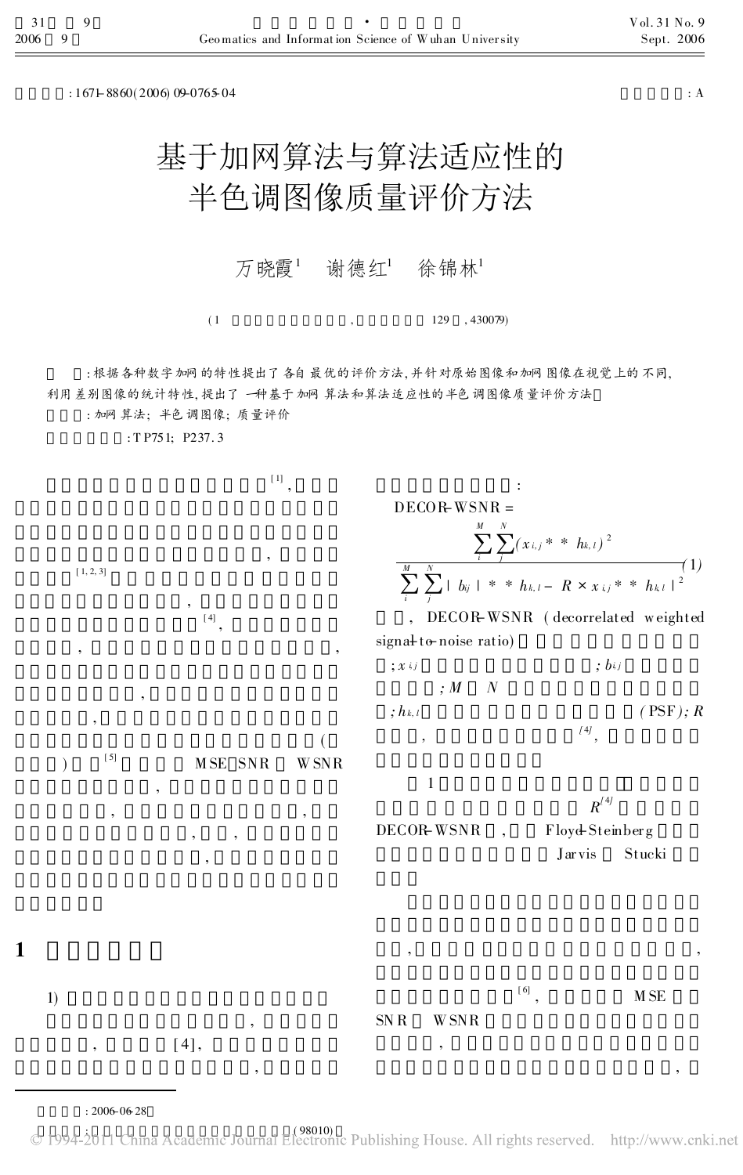$: 167 + 8860(2006)$  09-0765-04  $: A$ 

## 基于加网算法与算法适应性的 半色调图像质量评价方法

万晓霞<sup>1</sup> 谢德红<sup>1</sup> 徐锦林<sup>1</sup>

 $(1, 129, 430079)$ 

: 根据各种数字加网的特性提出了各自最优的评价方法, 并针对原始图像和加网图像在视觉上的不同, 利用差别图像的统计特性, 提出了一种基于加网算法和算法适应性的半色调图像质量评价方法

: 加网算法; 半色调图像; 质量评价

: T P751; P237. 3

[ 1] , , [ 1, 2, 3] , [ 4] , , , , , ( )  $MSE$  SNR W SNR , , , , , , 1) ,  $[4]$ , , : DECOR-WSNR =  $\sum_i$ M  $\sum_i \sum_j$ N  $\sum_{j} (x_{i,j} * * h_{k,\,l})^{\,2}$  $\sum_i$ M  $\sum_{i}^{M} \sum_{j}^{N}$  $\sum_{j=1}^{N}$  | b<sub>ij</sub> | \* \* h<sub>k, l</sub> - R × x <sub>ij</sub> \* \* h<sub>k, l</sub> | <sup>2</sup> DECOR-WSNR (decorrelated weighted signal to noise ratio) ;  $x_i$ ,  $j$  ;  $b_i$ ,  $j$  $; M \, N$ ;  $h_{k,l}$  ( PSF); R ,  $[4]$ , 1  $R^{(4)}$ DECOR-WSNR, Floyd-Steinberg Jar vis Stucki , , [ 6] M<sub>SE</sub> SN R W SNR , ,

: 2006-06-28

1

© 1994-2011 China Academic Journal Electronic Publishing House. All rights reserved. http://www.cnki.net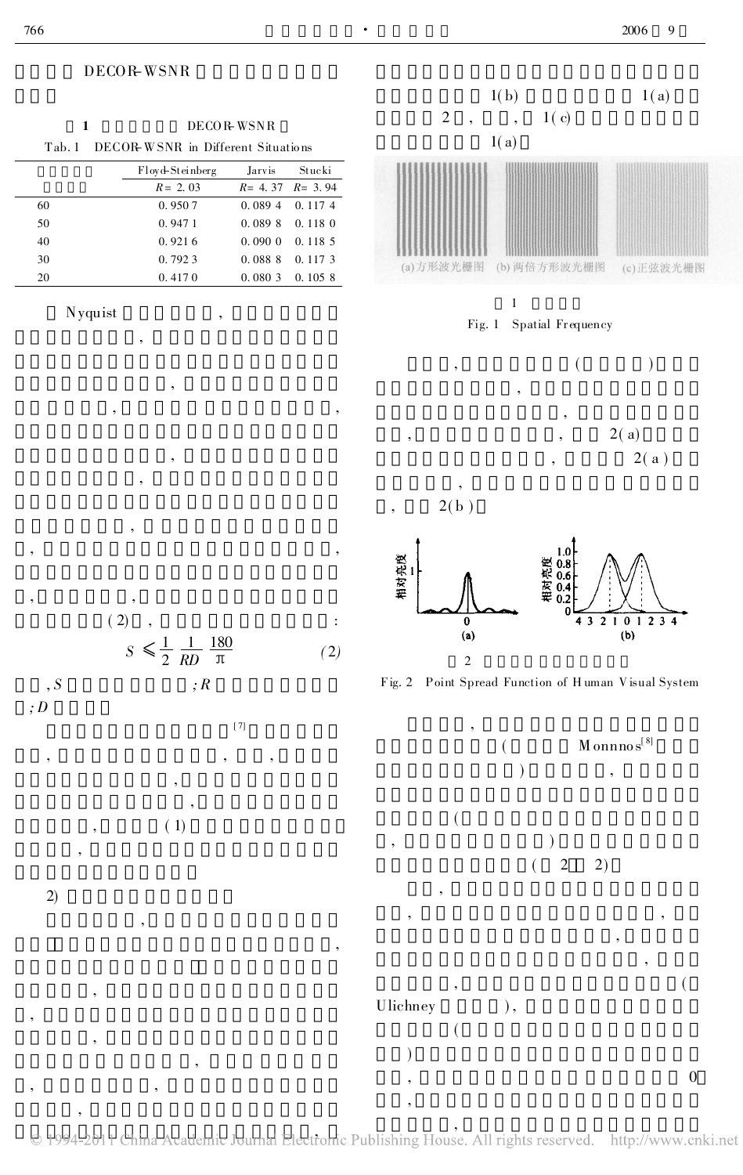• 2006 9

## DECOR-WSNR

,

,

, , ,

,

,

|              |                                                     |                           |                   |                          | 1(b)                                                | 1(a)                         |
|--------------|-----------------------------------------------------|---------------------------|-------------------|--------------------------|-----------------------------------------------------|------------------------------|
|              |                                                     |                           |                   | $\sqrt{2}$               | 1(c)<br>$\cdot$                                     |                              |
| $\mathbf{1}$ |                                                     | $\rm{DECO}\,R\,\rm{WSNR}$ |                   |                          | 1(a)                                                |                              |
| Tab.1        | DECOR WSNR in Different Situations                  |                           |                   |                          |                                                     |                              |
|              | ${\rm Floyd\text{-}Steinberg}$                      | Jarvis                    | Stucki            |                          |                                                     |                              |
|              | $R = 2.03$                                          | $R = 4.37$                | $R = 3.94$        |                          |                                                     |                              |
| 60           | 0.9507                                              | 0.0894                    | 0.1174            |                          |                                                     |                              |
| $50\,$       | 0.9471                                              | 0.0898                    | 0.1180            |                          |                                                     |                              |
| $40\,$       | 0.9216                                              | 0.0900                    | 0.1185            |                          |                                                     |                              |
| $30\,$       | 0.7923                                              | $0.\,088$ $8$             | 0.1173            | (a)方形波光栅图                | (b) 两倍方形波光栅图                                        | (c) 正弦波光栅图                   |
| $20\,$       | 0.4170                                              | $0.\,080$ $3$             | $0.\,105$ $\,8$   |                          |                                                     |                              |
|              |                                                     |                           |                   |                          | $\,1\,$                                             |                              |
| Nyquist      | ,                                                   |                           |                   |                          | Fig. 1 Spatial Frequency                            |                              |
|              | ,                                                   |                           |                   |                          |                                                     |                              |
|              |                                                     |                           |                   |                          |                                                     |                              |
|              |                                                     |                           |                   | ,                        |                                                     |                              |
|              |                                                     |                           |                   |                          |                                                     |                              |
|              | $^\circ$                                            |                           |                   |                          |                                                     |                              |
|              |                                                     |                           |                   |                          |                                                     | 2(a)                         |
|              |                                                     |                           |                   |                          |                                                     | $2($ a $)$                   |
|              |                                                     |                           |                   |                          |                                                     |                              |
|              |                                                     |                           |                   |                          |                                                     |                              |
|              |                                                     |                           |                   | 2(b)<br>$^\circ$         |                                                     |                              |
|              | $^\circ$                                            |                           |                   |                          |                                                     |                              |
|              |                                                     |                           |                   |                          |                                                     |                              |
|              |                                                     |                           |                   |                          |                                                     |                              |
|              |                                                     |                           |                   | 相对亮度                     | 相对亮度<br>0.0.0.8<br>0.4                              |                              |
| ,            |                                                     |                           |                   |                          |                                                     |                              |
|              | $(\ 2)$                                             |                           | $\ddot{\cdot}$    | $\overline{\mathbf{0}}$  | $\bf{0}$                                            | 4 3 2 1 0 1 2 3 4            |
|              |                                                     |                           |                   | (a)                      |                                                     | (b)                          |
|              | $S \leq \frac{1}{2} \frac{1}{RD} \frac{180}{\pi}$   |                           | $\left( 2\right)$ | $\sqrt{2}$               |                                                     |                              |
|              |                                                     |                           |                   |                          | Fig. 2 Point Spread Function of Human Visual System |                              |
| $\, , S$     | $;R% \rightarrow \mathbb{R} \rightarrow \mathbb{R}$ |                           |                   |                          |                                                     |                              |
| $\,;D$       |                                                     |                           |                   |                          |                                                     |                              |
|              |                                                     | $[\,7]$                   |                   | ,                        |                                                     |                              |
|              |                                                     |                           |                   |                          |                                                     | $M$ onnno $\mathbf{s}^{[8]}$ |
|              |                                                     |                           |                   |                          |                                                     |                              |
|              |                                                     |                           |                   |                          |                                                     |                              |
|              |                                                     |                           |                   |                          |                                                     |                              |
|              | $\left( \ 1\right)$                                 |                           |                   |                          |                                                     |                              |
|              |                                                     |                           |                   | $\overline{\phantom{a}}$ |                                                     |                              |
|              |                                                     |                           |                   |                          | $\sqrt{2}$<br>2)                                    |                              |
|              |                                                     |                           |                   |                          |                                                     |                              |
| 2)           |                                                     |                           |                   |                          |                                                     |                              |
|              |                                                     |                           |                   |                          |                                                     |                              |
|              |                                                     |                           |                   |                          |                                                     |                              |
|              |                                                     |                           |                   |                          |                                                     |                              |
|              |                                                     |                           |                   |                          |                                                     |                              |

,<br>Ionie Publishing Hous

)

,

 $\begin{minipage}{0.9\linewidth} \textbf{U} \textbf{lie} \textbf{h} \textbf{neg} \end{minipage} \begin{minipage}{0.9\linewidth} \begin{minipage}{0.9\linewidth} \textbf{U} \textbf{lie} \textbf{he} \textbf{y} \end{minipage} \begin{minipage}{0.9\linewidth} \textbf{I} \end{minipage} \begin{minipage}{0.9\linewidth} \textbf{I} \end{minipage} \begin{minipage}{0.9\linewidth} \textbf{I} \end{minipage} \begin{minipage}{0.9\linewidth} \textbf{I} \end{minipage} \begin{minipage}{0.9\linewidth} \text$ (

,  $\hspace{1.6cm}$ 

,  $\hspace{1.6cm}0$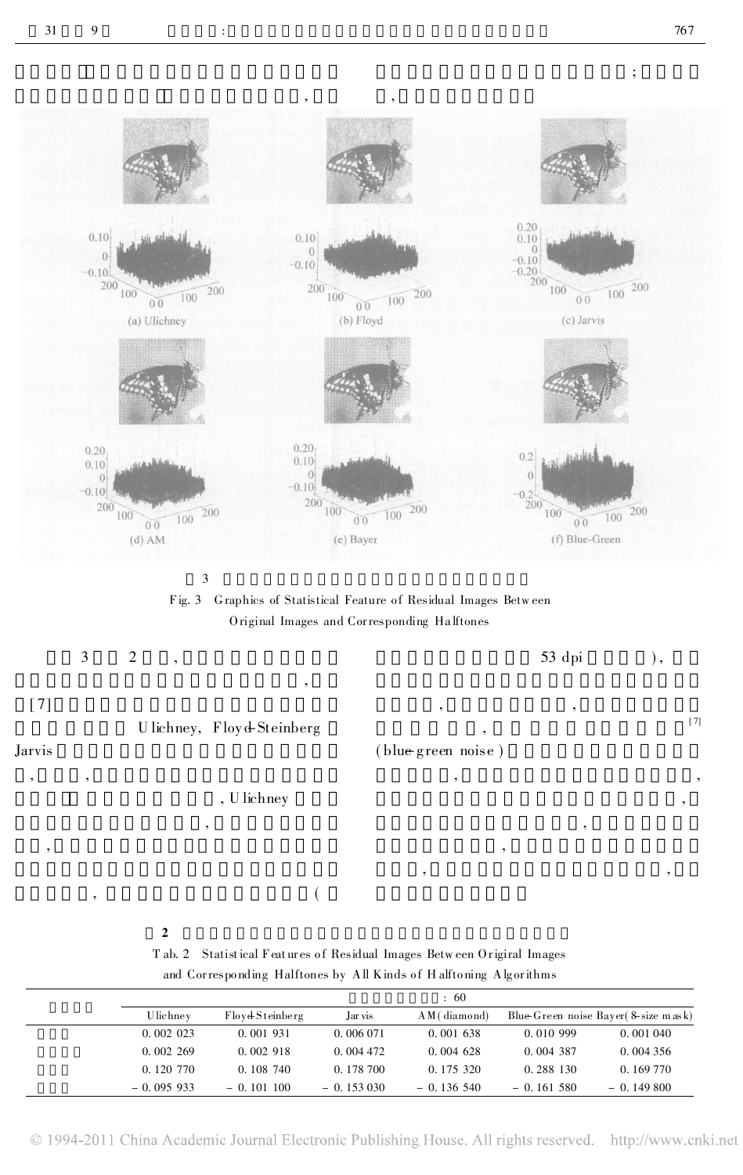$\vdots$ 



 $\overline{\mathbf{3}}$ 

Fig. 3 Graphics of Statistical Feature of Residual Images Between Original Images and Corresponding Halftones

|        | 3 | 2<br>, |                           |                    | $53$ dpi | ,,    |
|--------|---|--------|---------------------------|--------------------|----------|-------|
|        |   |        |                           |                    |          |       |
|        |   |        |                           | $\cdot$            | $\cdot$  |       |
|        |   |        | Ulichney, Floyd-Steinberg |                    |          | $[7]$ |
| Jarvis |   |        |                           | (blue green noise) |          |       |

, U lichney

 $\overline{(}$ 

 $\overline{2}$ 

T ab. 2 Statistical Features of Residual Images Between Original Images and Corresponding Halftones by All Kinds of Halftoning Algorithms

| : 60         |                 |             |              |             |                                        |
|--------------|-----------------|-------------|--------------|-------------|----------------------------------------|
| Ulichney     | Floyd Steinberg | Jar vis     | AM (diamond) |             | Blue-Green noise Bayer (8-size m as k) |
| 0.002023     | 0.001931        | 0.006 071   | 0.001638     | 0.010999    | 0.001 040                              |
| 0.002269     | 0.002918        | 0.004472    | $0.004$ 628  | 0.004 387   | 0.004356                               |
| $0.120\ 770$ | 0.108 740       | 0.178 700   | 0.175 320    | 0.288 130   | 0.169 770                              |
| $-0.095933$  | $-0.101100$     | $-0.153030$ | $-0.136540$  | $-0.161580$ | $-0.149800$                            |

© 1994-2011 China Academic Journal Electronic Publishing House. All rights reserved. http://www.cnki.net